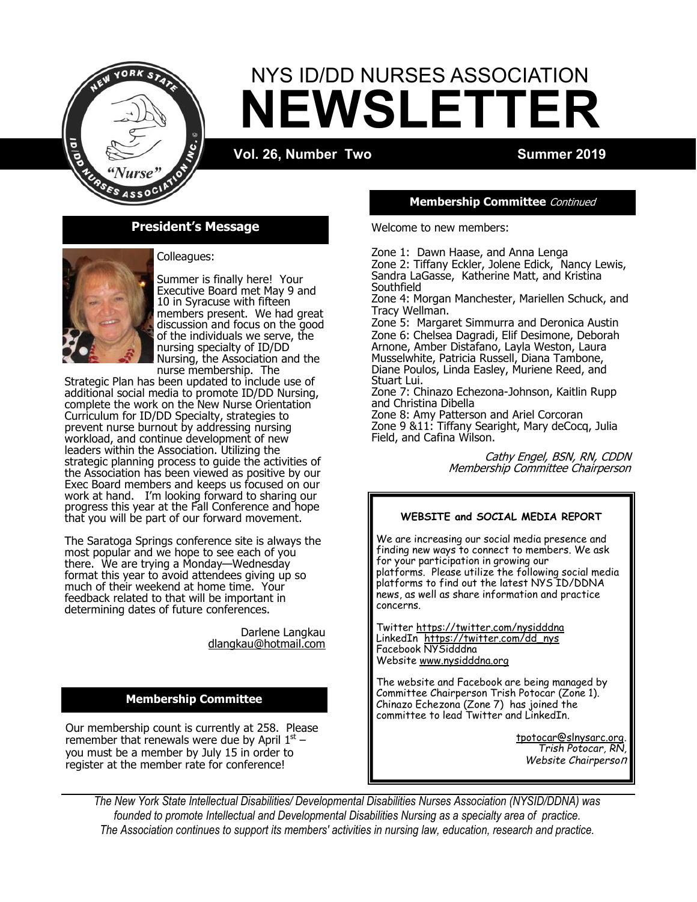

# **NEWSLETTER** NYS ID/DD NURSES ASSOCIATION

**Vol. 26, Number Two Summer 2019** 



Colleagues:

Summer is finally here! Your Executive Board met May 9 and 10 in Syracuse with fifteen members present. We had great discussion and focus on the good of the individuals we serve, the nursing specialty of ID/DD Nursing, the Association and the nurse membership. The

Strategic Plan has been updated to include use of additional social media to promote ID/DD Nursing, complete the work on the New Nurse Orientation Curriculum for ID/DD Specialty, strategies to prevent nurse burnout by addressing nursing workload, and continue development of new leaders within the Association. Utilizing the strategic planning process to guide the activities of the Association has been viewed as positive by our Exec Board members and keeps us focused on our work at hand. I'm looking forward to sharing our progress this year at the Fall Conference and hope that you will be part of our forward movement.

The Saratoga Springs conference site is always the most popular and we hope to see each of you there. We are trying a Monday—Wednesday format this year to avoid attendees giving up so much of their weekend at home time. Your feedback related to that will be important in determining dates of future conferences.

> Darlene Langkau dlangkau@hotmail.com

# **Membership Committee**

Our membership count is currently at 258. Please remember that renewals were due by April  $1^\text{st}$  – you must be a member by July 15 in order to register at the member rate for conference!

#### **Membership Committee** Continued

Welcome to new members:

Zone 1: Dawn Haase, and Anna Lenga Zone 2: Tiffany Eckler, Jolene Edick, Nancy Lewis, Sandra LaGasse, Katherine Matt, and Kristina **Southfield** 

Zone 4: Morgan Manchester, Mariellen Schuck, and Tracy Wellman.

Zone 5: Margaret Simmurra and Deronica Austin Zone 6: Chelsea Dagradi, Elif Desimone, Deborah Arnone, Amber Distafano, Layla Weston, Laura Musselwhite, Patricia Russell, Diana Tambone, Diane Poulos, Linda Easley, Muriene Reed, and Stuart Lui.

Zone 7: Chinazo Echezona-Johnson, Kaitlin Rupp and Christina Dibella

Zone 8: Amy Patterson and Ariel Corcoran Zone 9 &11: Tiffany Searight, Mary deCocq, Julia Field, and Cafina Wilson.

> Cathy Engel, BSN, RN, CDDN Membership Committee Chairperson

# **WEBSITE and SOCIAL MEDIA REPORT**

We are increasing our social media presence and finding new ways to connect to members. We ask for your participation in growing our platforms. Please utilize the following social media platforms to find out the latest NYS ID/DDNA news, as well as share information and practice concerns.

Twitter <https://twitter.com/nysidddna> LinkedIn [https://twitter.com/dd\\_nys](https://twitter.com/dd_nys) Facebook NYSidddna Website [www.nysidddna.org](http://www.nysidddna.org)

The website and Facebook are being managed by Committee Chairperson Trish Potocar (Zone 1). Chinazo Echezona (Zone 7) has joined the committee to lead Twitter and LinkedIn.

> [tpotocar@slnysarc.org.](mailto:tpotocar@slnysarc.org)  *Trish Potocar, RN, Website Chairperso*<sup>n</sup>

*The New York State Intellectual Disabilities/ Developmental Disabilities Nurses Association (NYSID/DDNA) was founded to promote Intellectual and Developmental Disabilities Nursing as a specialty area of practice. The Association continues to support its members' activities in nursing law, education, research and practice.*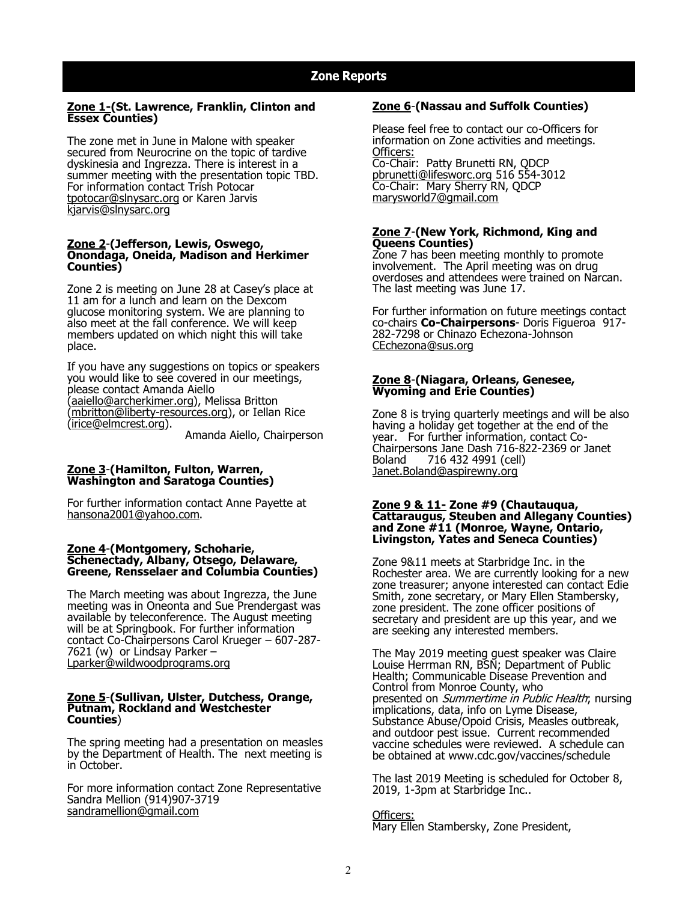#### **Zone 1-(St. Lawrence, Franklin, Clinton and Essex Counties)**

The zone met in June in Malone with speaker secured from Neurocrine on the topic of tardive dyskinesia and Ingrezza. There is interest in a summer meeting with the presentation topic TBD. For information contact Trish Potocar [tpotocar@slnysarc.org](mailto:tpotocar@slnysarc.org) or Karen Jarvis [kjarvis@slnysarc.org](mailto:kjarvis@slnysarc.org)

#### **Zone 2**-**(Jefferson, Lewis, Oswego, Onondaga, Oneida, Madison and Herkimer Counties)**

Zone 2 is meeting on June 28 at Casey's place at 11 am for a lunch and learn on the Dexcom glucose monitoring system. We are planning to also meet at the fall conference. We will keep members updated on which night this will take place.

If you have any suggestions on topics or speakers you would like to see covered in our meetings, please contact Amanda Aiello ([aaiello@archerkimer.org\),](mailto:aaiello@archerkimer.org) Melissa Britton ([mbritton@liberty](mailto:mbritton@liberty-resources.org)-resources.org), or Iellan Rice ([irice@elmcrest.org\).](mailto:irice@elmcrest.org)

Amanda Aiello, Chairperson

#### **Zone 3**-**(Hamilton, Fulton, Warren, Washington and Saratoga Counties)**

For further information contact Anne Payette at [hansona2001@yahoo.com.](mailto:hansona2001@yahoo.com)

#### **Zone 4**-**(Montgomery, Schoharie, Schenectady, Albany, Otsego, Delaware, Greene, Rensselaer and Columbia Counties)**

The March meeting was about Ingrezza, the June meeting was in Oneonta and Sue Prendergast was available by teleconference. The August meeting will be at Springbook. For further information contact Co-Chairpersons Carol Krueger – 607-287- 7621 (w) [or L](mailto:kruegerc@springbrookny.org)indsay Parker – [Lparker@wildwoodprograms.org](mailto:Lparker@wildwoodprograms.org)

#### **Zone 5**-**(Sullivan, Ulster, Dutchess, Orange, Putnam, Rockland and Westchester Counties**)

The spring meeting had a presentation on measles by the Department of Health. The next meeting is in October.

For more information contact Zone Representative Sandra Mellion (914)907-3719 [sandramellion@gmail.com](mailto:sandramellion@gmail.com)

#### **Zone 6**-**(Nassau and Suffolk Counties)**

Please feel free to contact our co-Officers for information on Zone activities and meetings. Officers: Co-Chair: Patty Brunetti RN, QDCP [pbrunetti@lifesworc.org](mailto:pbrunetti@lifesworc.org) 516 554-3012

Co-Chair: Mary Sherry RN, QDCP [marysworld7@gmail.com](mailto:marysworld7@gmail.com)

#### **Zone 7**-**(New York, Richmond, King and Queens Counties)**

Zone 7 has been meeting monthly to promote involvement. The April meeting was on drug overdoses and attendees were trained on Narcan. The last meeting was June 17.

For further information on future meetings contact co-chairs **Co-Chairpersons**- Doris Figueroa 917- 282-7298 or Chinazo Echezona-Johnson [CEchezona@sus.org](mailto:CEchezona@sus.org)

#### **Zone 8**-**(Niagara, Orleans, Genesee, Wyoming and Erie Counties)**

Zone 8 is trying quarterly meetings and will be also having a holiday get together at the end of the year. For further information, contact Co-Chairpersons Jane Dash 716-822-2369 or Janet Boland 716 432 4991 (cell) [Janet.Boland@aspirewny.org](mailto:Janet.Boland@aspirewny.org)

#### **Zone 9 & 11- Zone #9 (Chautauqua, Cattaraugus, Steuben and Allegany Counties) and Zone #11 (Monroe, Wayne, Ontario, Livingston, Yates and Seneca Counties)**

Zone 9&11 meets at Starbridge Inc. in the Rochester area. We are currently looking for a new zone treasurer; anyone interested can contact Edie Smith, zone secretary, or Mary Ellen Stambersky, zone president. The zone officer positions of secretary and president are up this year, and we are seeking any interested members.

The May 2019 meeting guest speaker was Claire Louise Herrman RN, BSN; Department of Public Health; Communicable Disease Prevention and Control from Monroe County, who presented on Summertime in Public Health; nursing implications, data, info on Lyme Disease, Substance Abuse/Opoid Crisis, Measles outbreak, and outdoor pest issue. Current recommended vaccine schedules were reviewed. A schedule can be obtained at www.cdc.gov/vaccines/schedule

The last 2019 Meeting is scheduled for October 8, 2019, 1-3pm at Starbridge Inc..

Officers: Mary Ellen Stambersky, Zone President,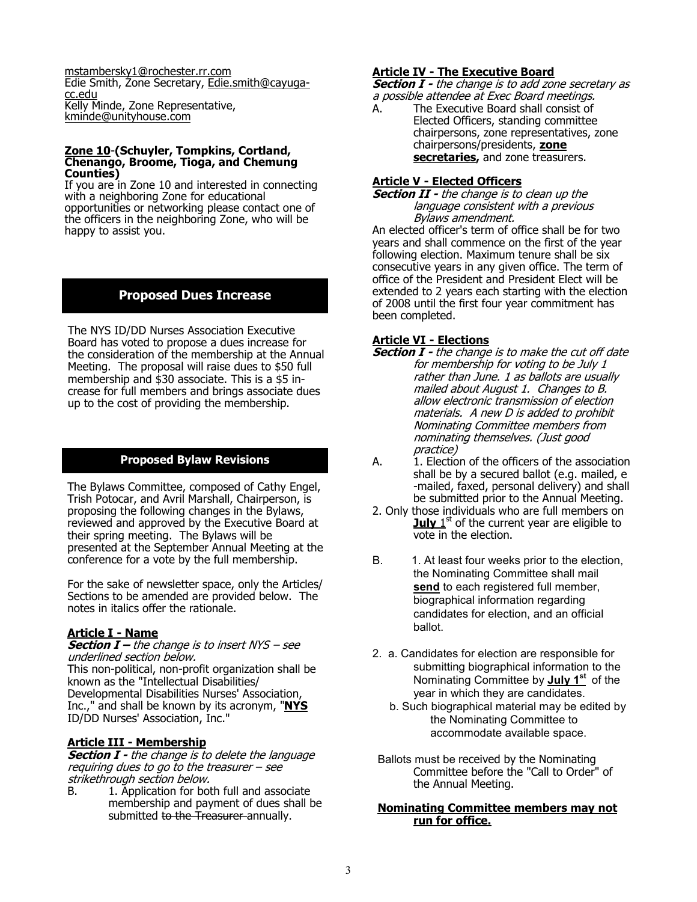[mstambersky1@rochester.rr.com](mailto:mstambersky1@rochester.rr.com) Edie Smith, Zone Secretary, [Edie.smith@cayuga](mailto:Edie.smith@cayuga-cc.edu)[cc.edu](mailto:Edie.smith@cayuga-cc.edu) Kelly Minde, Zone Representative, [kminde@unityhouse.com](mailto:kminde@unityhouse.com)

#### **Zone 10**-**(Schuyler, Tompkins, Cortland, Chenango, Broome, Tioga, and Chemung Counties)**

If you are in Zone 10 and interested in connecting with a neighboring Zone for educational opportunities or networking please contact one of the officers in the neighboring Zone, who will be happy to assist you.

# **Proposed Dues Increase**

The NYS ID/DD Nurses Association Executive Board has voted to propose a dues increase for the consideration of the membership at the Annual Meeting. The proposal will raise dues to \$50 full membership and \$30 associate. This is a \$5 increase for full members and brings associate dues up to the cost of providing the membership.

# **Proposed Bylaw Revisions**

The Bylaws Committee, composed of Cathy Engel, Trish Potocar, and Avril Marshall, Chairperson, is proposing the following changes in the Bylaws, reviewed and approved by the Executive Board at their spring meeting. The Bylaws will be presented at the September Annual Meeting at the conference for a vote by the full membership.

For the sake of newsletter space, only the Articles/ Sections to be amended are provided below. The notes in italics offer the rationale.

#### **Article I - Name**

**Section I –** the change is to insert NYS – see underlined section below. This non-political, non-profit organization shall be known as the "Intellectual Disabilities/ Developmental Disabilities Nurses' Association, Inc.," and shall be known by its acronym, "**NYS**  ID/DD Nurses' Association, Inc."

# **Article III - Membership**

**Section I -** the change is to delete the language requiring dues to go to the treasurer – see strikethrough section below.<br>B. 1. Application for bot

1. Application for both full and associate membership and payment of dues shall be submitted to the Treasurer annually.

#### **Article IV - The Executive Board**

**Section I -** the change is to add zone secretary as a possible attendee at Exec Board meetings.

A. The Executive Board shall consist of Elected Officers, standing committee chairpersons, zone representatives, zone chairpersons/presidents, **zone**  secretaries, and zone treasurers.

### **Article V - Elected Officers**

**Section II -** the change is to clean up the language consistent with a previous Bylaws amendment.

An elected officer's term of office shall be for two years and shall commence on the first of the year following election. Maximum tenure shall be six consecutive years in any given office. The term of office of the President and President Elect will be extended to 2 years each starting with the election of 2008 until the first four year commitment has been completed.

#### **Article VI - Elections**

- **Section I -** the change is to make the cut off date for membership for voting to be July 1 rather than June. 1 as ballots are usually mailed about August 1. Changes to B. allow electronic transmission of election materials. A new D is added to prohibit Nominating Committee members from nominating themselves. (Just good practice)
- A. 1. Election of the officers of the association shall be by a secured ballot (e.g. mailed, e -mailed, faxed, personal delivery) and shall be submitted prior to the Annual Meeting.
- 2. Only those individuals who are full members on **July** 1<sup>st</sup> of the current year are eligible to vote in the election.
- B. 1. At least four weeks prior to the election, the Nominating Committee shall mail **send** to each registered full member, biographical information regarding candidates for election, and an official ballot.
- 2. a. Candidates for election are responsible for submitting biographical information to the Nominating Committee by **July 1st** of the year in which they are candidates.
	- b. Such biographical material may be edited by the Nominating Committee to accommodate available space.
- Ballots must be received by the Nominating Committee before the "Call to Order" of the Annual Meeting.

#### **Nominating Committee members may not run for office.**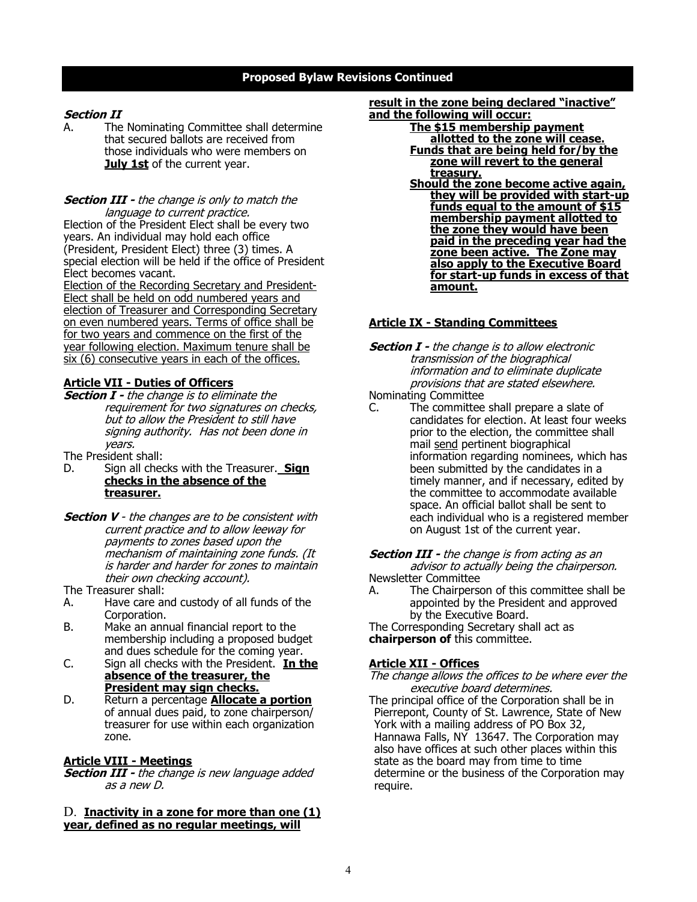# **Proposed Bylaw Revisions Continued**

#### **Section II**

A. The Nominating Committee shall determine that secured ballots are received from those individuals who were members on **July 1st** of the current year.

#### **Section III -** the change is only to match the language to current practice.

Election of the President Elect shall be every two years. An individual may hold each office (President, President Elect) three (3) times. A special election will be held if the office of President Elect becomes vacant.

Election of the Recording Secretary and President-Elect shall be held on odd numbered years and election of Treasurer and Corresponding Secretary on even numbered years. Terms of office shall be for two years and commence on the first of the year following election. Maximum tenure shall be six (6) consecutive years in each of the offices.

# **Article VII - Duties of Officers**

**Section I -** the change is to eliminate the requirement for two signatures on checks, but to allow the President to still have signing authority. Has not been done in years.

The President shall:

- D. Sign all checks with the Treasurer. **Sign checks in the absence of the treasurer.**
- **Section V** the changes are to be consistent with current practice and to allow leeway for payments to zones based upon the mechanism of maintaining zone funds. (It is harder and harder for zones to maintain their own checking account).

The Treasurer shall:

- A. Have care and custody of all funds of the Corporation.
- B. Make an annual financial report to the membership including a proposed budget and dues schedule for the coming year.
- C. Sign all checks with the President. **In the absence of the treasurer, the President may sign checks.**
- D. Return a percentage **Allocate a portion** of annual dues paid, to zone chairperson/ treasurer for use within each organization zone.

# **Article VIII - Meetings**

**Section III -** the change is new language added as a new D.

#### D. **Inactivity in a zone for more than one (1) year, defined as no regular meetings, will**

**result in the zone being declared "inactive" and the following will occur:**

- **The \$15 membership payment allotted to the zone will cease. Funds that are being held for/by the**
- **zone will revert to the general treasury.**
- **Should the zone become active again, they will be provided with start-up funds equal to the amount of \$15 membership payment allotted to the zone they would have been paid in the preceding year had the zone been active. The Zone may also apply to the Executive Board for start-up funds in excess of that amount.**

# **Article IX - Standing Committees**

- **Section I -** the change is to allow electronic transmission of the biographical information and to eliminate duplicate provisions that are stated elsewhere.
- Nominating Committee
- C. The committee shall prepare a slate of candidates for election. At least four weeks prior to the election, the committee shall mail send pertinent biographical information regarding nominees, which has been submitted by the candidates in a timely manner, and if necessary, edited by the committee to accommodate available space. An official ballot shall be sent to each individual who is a registered member on August 1st of the current year.

#### **Section III -** the change is from acting as an advisor to actually being the chairperson.

Newsletter Committee A. The Chairperson of this committee shall be appointed by the President and approved by the Executive Board.

The Corresponding Secretary shall act as **chairperson of** this committee.

#### **Article XII - Offices**

#### The change allows the offices to be where ever the executive board determines.

The principal office of the Corporation shall be in Pierrepont, County of St. Lawrence, State of New York with a mailing address of PO Box 32, Hannawa Falls, NY 13647. The Corporation may also have offices at such other places within this state as the board may from time to time determine or the business of the Corporation may require.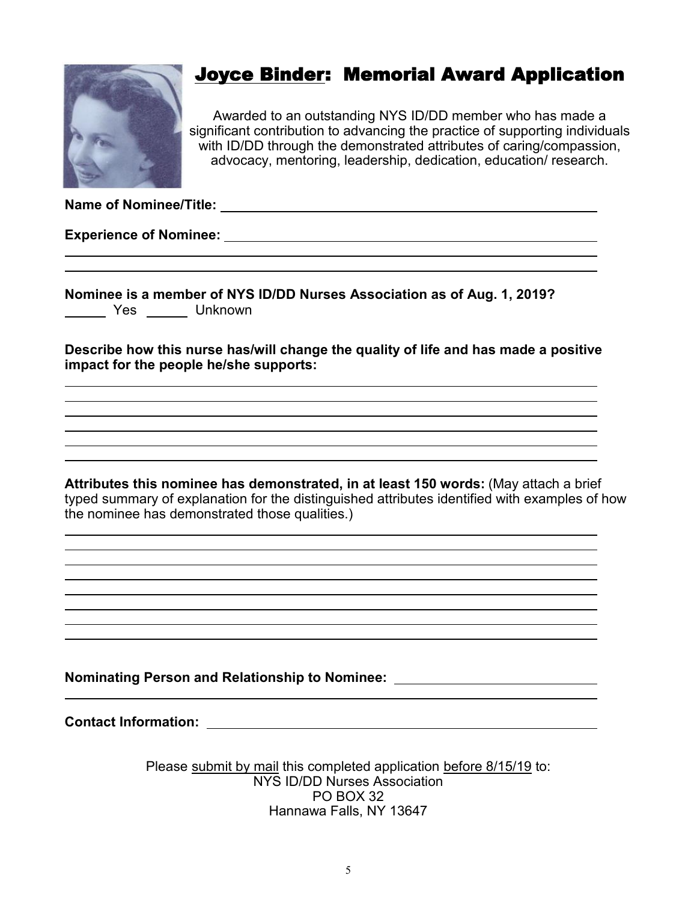

# Joyce Binder: Memorial Award Application

Awarded to an outstanding NYS ID/DD member who has made a significant contribution to advancing the practice of supporting individuals with ID/DD through the demonstrated attributes of caring/compassion, advocacy, mentoring, leadership, dedication, education/ research.

**Name of Nominee/Title:** 

**Experience of Nominee:** 

|      | Nominee is a member of NYS ID/DD Nurses Association as of Aug. 1, 2019? |  |  |
|------|-------------------------------------------------------------------------|--|--|
| Yes. | Unknown                                                                 |  |  |

**Describe how this nurse has/will change the quality of life and has made a positive impact for the people he/she supports:**

**Attributes this nominee has demonstrated, in at least 150 words:** (May attach a brief typed summary of explanation for the distinguished attributes identified with examples of how the nominee has demonstrated those qualities.)

**Nominating Person and Relationship to Nominee:** 

**Contact Information:** 

Please submit by mail this completed application before 8/15/19 to: NYS ID/DD Nurses Association PO BOX 32 Hannawa Falls, NY 13647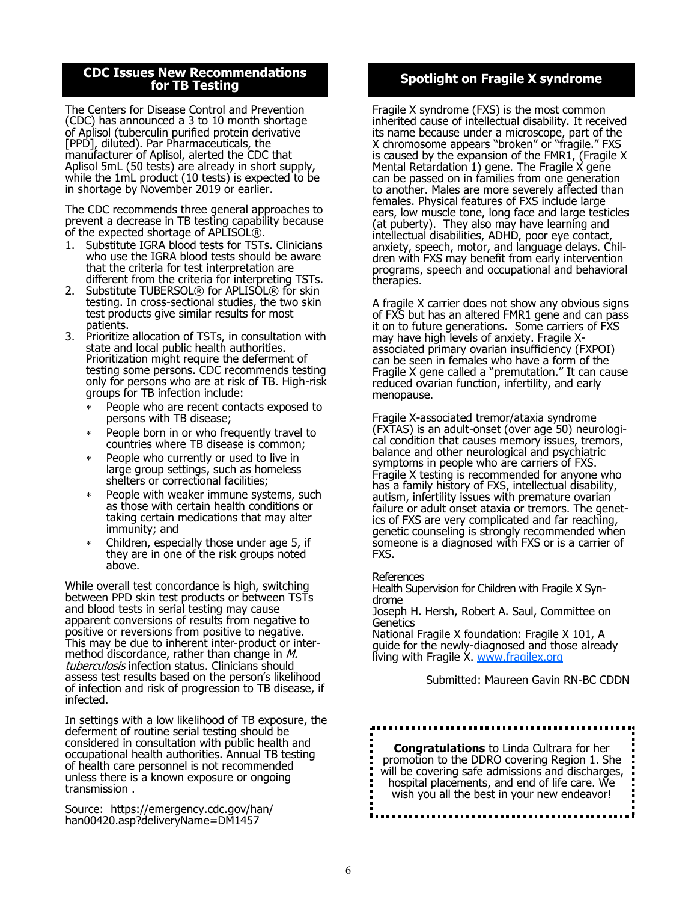### **CDC Issues New Recommendations for TB Testing**

The Centers for Disease Control and Prevention (CDC) has announced a 3 to 10 month shortage of [Aplisol](http://www.parsterileproducts.com/products/assets/pdf/PI/2018/Aplisol-PSP-PI-2018.pdf) (tuberculin purified protein derivative [PPD], diluted). Par Pharmaceuticals, the manufacturer of Aplisol, alerted the CDC that Aplisol 5mL (50 tests) are already in short supply, while the 1mL product (10 tests) is expected to be in shortage by November 2019 or earlier.

The CDC recommends three general approaches to prevent a decrease in TB testing capability because of the expected shortage of APLISOL®.

- 1. Substitute IGRA blood tests for TSTs. Clinicians who use the IGRA blood tests should be aware that the criteria for test interpretation are different from the criteria for interpreting TSTs.
- 2. Substitute TUBERSOL® for APLISOL® for skin testing. In cross-sectional studies, the two skin test products give similar results for most patients.
- 3. Prioritize allocation of TSTs, in consultation with state and local public health authorities. Prioritization might require the deferment of testing some persons. CDC recommends testing only for persons who are at risk of TB. High-risk groups for TB infection include:
	- People who are recent contacts exposed to persons with TB disease;
	- People born in or who frequently travel to countries where TB disease is common;
	- People who currently or used to live in large group settings, such as homeless shelters or correctional facilities;
	- People with weaker immune systems, such as those with certain health conditions or taking certain medications that may alter immunity; and
	- Children, especially those under age 5, if they are in one of the risk groups noted above.

While overall test concordance is high, switching between PPD skin test products or between TSTs and blood tests in serial testing may cause apparent conversions of results from negative to positive or reversions from positive to negative. This may be due to inherent inter-product or intermethod discordance, rather than change in  $M$ . tuberculosis infection status. Clinicians should assess test results based on the person's likelihood of infection and risk of progression to TB disease, if infected.

In settings with a low likelihood of TB exposure, the deferment of routine serial testing should be considered in consultation with public health and occupational health authorities. Annual TB testing of health care personnel is not recommended unless there is a known exposure or ongoing transmission .

Source: https://emergency.cdc.gov/han/ han00420.asp?deliveryName=DM1457

# **Spotlight on Fragile X syndrome**

Fragile X syndrome (FXS) is the most common inherited cause of intellectual disability. It received its name because under a microscope, part of the X chromosome appears "broken" or "fragile." FXS is caused by the expansion of the FMR1, (Fragile X Mental Retardation 1) gene. The Fragile X gene can be passed on in families from one generation to another. Males are more severely affected than females. Physical features of FXS include large ears, low muscle tone, long face and large testicles (at puberty). They also may have learning and intellectual disabilities, ADHD, poor eye contact, anxiety, speech, motor, and language delays. Children with FXS may benefit from early intervention programs, speech and occupational and behavioral therapies.

A fragile X carrier does not show any obvious signs of FXS but has an altered FMR1 gene and can pass it on to future generations. Some carriers of FXS may have high levels of anxiety. Fragile Xassociated primary ovarian insufficiency (FXPOI) can be seen in females who have a form of the Fragile X gene called a "premutation." It can cause reduced ovarian function, infertility, and early menopause.

Fragile X-associated tremor/ataxia syndrome (FXTAS) is an adult-onset (over age 50) neurological condition that causes memory issues, tremors, balance and other neurological and psychiatric symptoms in people who are carriers of FXS. Fragile X testing is recommended for anyone who has a family history of FXS, intellectual disability, autism, infertility issues with premature ovarian failure or adult onset ataxia or tremors. The genetics of FXS are very complicated and far reaching, genetic counseling is strongly recommended when someone is a diagnosed with FXS or is a carrier of FXS.

**References** 

Health Supervision for Children with Fragile X Syndrome

Joseph H. Hersh, Robert A. Saul, Committee on **Genetics** 

National Fragile X foundation: Fragile X 101, A guide for the newly-diagnosed and those already living with Fragile X. [www.fragilex.org](http://www.fragilex.org)

Submitted: Maureen Gavin RN-BC CDDN

**Congratulations** to Linda Cultrara for her promotion to the DDRO covering Region 1. She will be covering safe admissions and discharges, hospital placements, and end of life care. We wish you all the best in your new endeavor!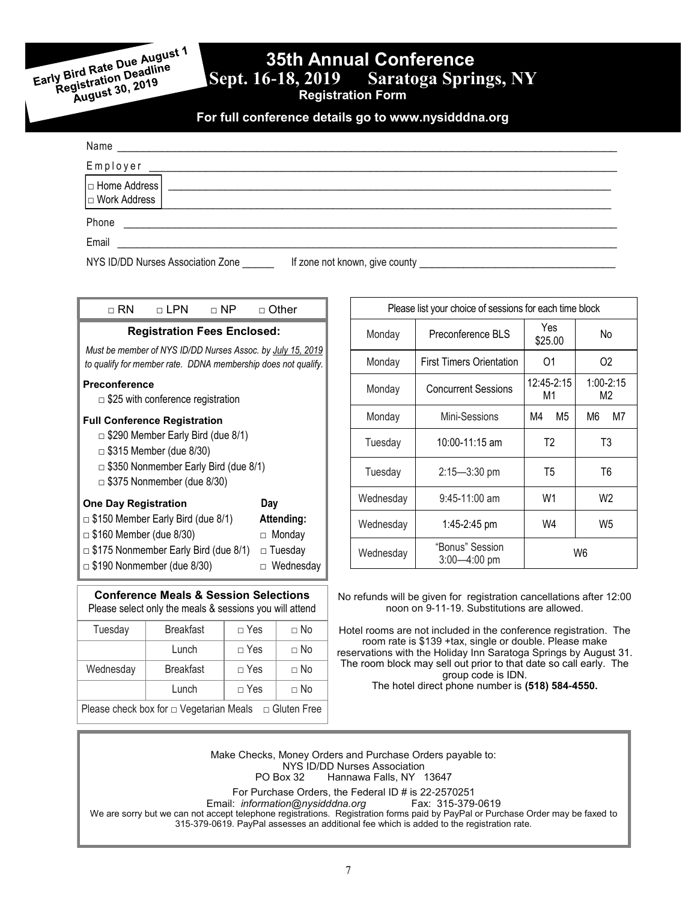Early Bird Rate Due August 1<br>Early Bird Rate Due August 1<br>Registration Deadline ly Bird Rate Due Augus<br>Registration Deadline<br>Registration 2019 gistration Dead...<br>gistration 2019<br>August 30, 2019

# **35th Annual Conference**<br>Sept. 16-18, 2019 Saratoga Spri

**Saratoga Springs, NY** 

**Registration Form**

**For full conference details go to www.nysidddna.org**

| Name                                  |                                |
|---------------------------------------|--------------------------------|
| Employer                              |                                |
| $\Box$ Home Address<br>  Work Address |                                |
| Phone                                 |                                |
| Email                                 |                                |
| NYS ID/DD Nurses Association Zone     | If zone not known, give county |

| $\sqcap$ RN                                                                                                                                                                                           | ⊓ LPN | ⊓ NP | ⊓ Other                                                           |  |  |
|-------------------------------------------------------------------------------------------------------------------------------------------------------------------------------------------------------|-------|------|-------------------------------------------------------------------|--|--|
| <b>Registration Fees Enclosed:</b>                                                                                                                                                                    |       |      |                                                                   |  |  |
| Must be member of NYS ID/DD Nurses Assoc. by July 15, 2019<br>to qualify for member rate. DDNA membership does not qualify.                                                                           |       |      |                                                                   |  |  |
| <b>Preconference</b><br>$\Box$ \$25 with conference registration                                                                                                                                      |       |      |                                                                   |  |  |
| <b>Full Conference Registration</b><br>$\Box$ \$290 Member Early Bird (due 8/1)<br>$\Box$ \$315 Member (due 8/30)<br>$\Box$ \$350 Nonmember Early Bird (due 8/1)<br>$\Box$ \$375 Nonmember (due 8/30) |       |      |                                                                   |  |  |
| <b>One Day Registration</b><br>$\Box$ \$150 Member Early Bird (due 8/1)<br>\$160 Member (due 8/30)<br>$\Box$<br>$\Box$ \$175 Nonmember Early Bird (due 8/1)<br>$\Box$ \$190 Nonmember (due 8/30)      |       |      | Day<br>Attending:<br>Monday<br>$\Box$<br>□ Tuesday<br>□ Wednesday |  |  |
|                                                                                                                                                                                                       |       |      |                                                                   |  |  |

| Please list your choice of sessions for each time block |                                     |                  |                     |  |  |  |
|---------------------------------------------------------|-------------------------------------|------------------|---------------------|--|--|--|
| Monday                                                  | Preconference BLS                   | Yes<br>\$25.00   | Nο                  |  |  |  |
| Monday                                                  | First Timers Orientation            | 01               | 02                  |  |  |  |
| Monday                                                  | <b>Concurrent Sessions</b>          | 12:45-2:15<br>M1 | $1:00 - 2:15$<br>M2 |  |  |  |
| Monday                                                  | Mini-Sessions                       | M4<br>M5         | M7<br>M6            |  |  |  |
| Tuesday                                                 | 10:00-11:15 am                      | T <sub>2</sub>   | T3                  |  |  |  |
| Tuesday                                                 | $2:15 - 3:30$ pm                    | T <sub>5</sub>   |                     |  |  |  |
| Wednesday                                               | W1<br>$9:45-11:00$ am               |                  | W <sub>2</sub>      |  |  |  |
| Wednesday                                               | 1:45-2:45 pm                        | W4               | W5                  |  |  |  |
| Wednesday                                               | "Bonus" Session<br>$3:00 - 4:00$ pm | W6               |                     |  |  |  |

No refunds will be given for registration cancellations after 12:00 noon on 9-11-19. Substitutions are allowed.

Hotel rooms are not included in the conference registration. The room rate is \$139 +tax, single or double. Please make reservations with the Holiday Inn Saratoga Springs by August 31. The room block may sell out prior to that date so call early. The group code is IDN.

The hotel direct phone number is **(518) 584-4550.**

Make Checks, Money Orders and Purchase Orders payable to:

NYS ID/DD Nurses Association<br>PO Box 32 Hannawa Falls, NY Hannawa Falls, NY 13647

For Purchase Orders, the Federal ID # is 22-2570251

Email: *information@nysidddna.org* Fax: 315-379-0619

We are sorry but we can not accept telephone registrations. Registration forms paid by PayPal or Purchase Order may be faxed to 315-379-0619. PayPal assesses an additional fee which is added to the registration rate.

Tuesday Breakfast De Yes Do Lunch  $\Box$  Yes  $\Box$  No

Please select only the meals & sessions you will attend

**Conference Meals & Session Selections**

Wednesday Breakfast | □ Yes | □ No Lunch  $\Box$  Yes  $\Box$  No Please check box for □ Vegetarian Meals □ Gluten Free